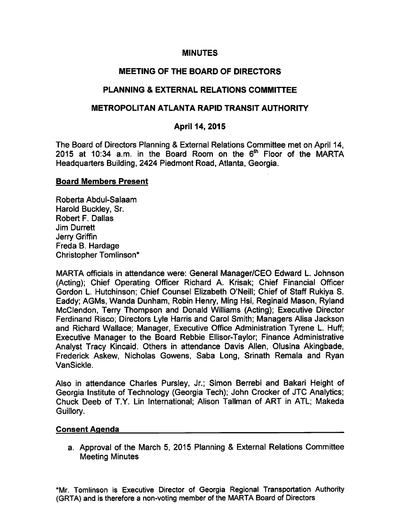#### **MINUTES**

# **MEETING OF THE BOARD OF DIRECTORS**

## **PLANNING & EXTERNAL RELATIONS COMMITTEE**

### **METROPOLITAN ATLANTA RAPID TRANSIT AUTHORITY**

### April 14, 2015

The Board of Directors Planning & External Relations Committee met on April 14. 2015 at 10:34 a.m. in the Board Room on the 6<sup>th</sup> Floor of the MARTA Headquarters Building, 2424 Piedmont Road, Atlanta, Georgia.

#### **Board Members Present**

Roberta Abdul-Salaam Harold Buckley, Sr. Robert F. Dallas **Jim Durrett** Jerry Griffin Freda B. Hardage Christopher Tomlinson\*

MARTA officials in attendance were: General Manager/CEO Edward L. Johnson (Acting); Chief Operating Officer Richard A. Krisak; Chief Financial Officer Gordon L. Hutchinson; Chief Counsel Elizabeth O'Neill; Chief of Staff Rukiya S. Eaddy; AGMs, Wanda Dunham, Robin Henry, Ming Hsi, Reginald Mason, Ryland McClendon, Terry Thompson and Donald Williams (Acting); Executive Director Ferdinand Risco; Directors Lyle Harris and Carol Smith; Managers Alisa Jackson and Richard Wallace; Manager, Executive Office Administration Tyrene L. Huff; Executive Manager to the Board Rebbie Ellisor-Taylor; Finance Administrative Analyst Tracy Kincaid. Others in attendance Davis Allen, Olusina Akingbade, Frederick Askew, Nicholas Gowens, Saba Long, Srinath Remala and Ryan VanSickle.

Also in attendance Charles Pursley, Jr.; Simon Berrebi and Bakari Height of Georgia Institute of Technology (Georgia Tech); John Crocker of JTC Analytics; Chuck Deeb of T.Y. Lin International: Alison Tallman of ART in ATL; Makeda Guillory.

#### **Consent Agenda**

a. Approval of the March 5, 2015 Planning & External Relations Committee **Meeting Minutes** 

\*Mr. Tomlinson is Executive Director of Georgia Regional Transportation Authority (GRTA) and is therefore a non-voting member of the MARTA Board of Directors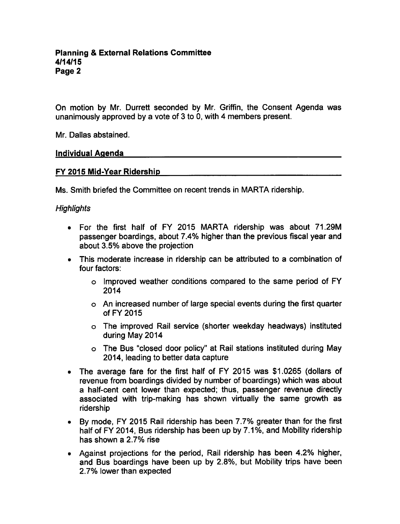On motion by Mr. Durrett seconded by Mr. Griffin, the Consent Agenda was unanimously approved by a vote of  $3$  to 0, with 4 members present.

Mr. Dallas abstained.

#### Individual Agenda

## FY 2015 Mid-Year Ridership

Ms. Smith briefed the Committee on recent trends in MARTA ridership.

## **Highlights**

- For the first half of FY 2015 MARTA ridership was about 71.29M passenger boardings, about 7.4% higher than the previous fiscal year and about 3.5% above the projection
- This moderate increase in ridership can be attributed to a combination of four factors:
	- o Improved weather conditions compared to the same period of FY 2014
	- An increased number of large special events during the first quarter of FY 2015
	- The improved Rail service (shorter weekday headways) instituted during May 2014
	- The Bus "closed door policy" at Rail stations instituted during May 2014, leading to better data capture
- The average fare for the first half of FY 2015 was \$1.0265 (dollars of revenue from boardings divided by number of boardings) which was about half-cent cent lower than expected; thus, passenger revenue directly associated with trip-making has shown virtually the same growth as ridership
- By mode, FY 2015 Rail ridership has been 7.7% greater than for the first  $\bullet$ half of FY 2014, Bus ridership has been up by 7.1%, and Mobility ridership has shown a 2.7% rise
- Against projections for the period, Rail ridership has been 4.2% higher, and Bus boardings have been up by 2.8%, but Mobility trips have been 2.7% lower than expected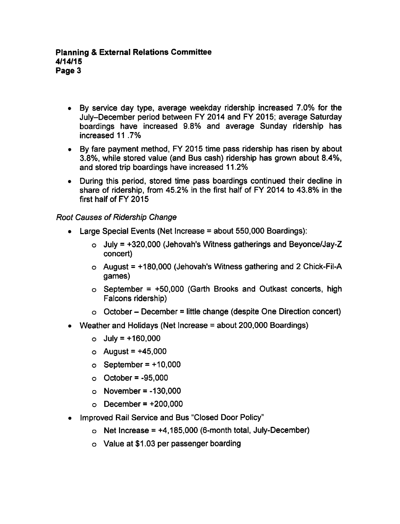- By service day type, average weekday ridership increased 7.0% for the July-December period between FY 2014 and FY 2015; average Saturday boardings have increased 9.8% and average Sunday ridership has increased 11 .7%
- By fare payment method, FY 2015 time pass ridership has risen by about 3.8%, while stored value (and Bus cash) ridership has grown about 8.4%, and stored trip boardings have increased 11.2%
- During this period, stored time pass boardings continued their decline in share of ridership, from 45.2% in the first half of FY 2014 to 43.8% in the first half of FY 2015

Root Causes of Ridership Change

- $\bullet$  Large Special Events (Net Increase = about 550,000 Boardings):
	- $\circ$  July = +320,000 (Jehovah's Witness gatherings and Beyonce/Jay-Z concert)
	- $\circ$  August = +180,000 (Jehovah's Witness gathering and 2 Chick-Fil-A games)
	- $\circ$  September = +50,000 (Garth Brooks and Outkast concerts, high Falcons ridership)
	- $\circ$  October December = little change (despite One Direction concert)
- Weather and Holidays (Net Increase  $=$  about 200,000 Boardings)
	- $\circ$  July = +160,000
	- $\circ$  August = +45,000
	- $\circ$  September = +10,000
	- $\circ$  October = -95,000
	- $\circ$  November = -130,000
	- $\circ$  December = +200,000
- Improved Rail Service and Bus "Closed Door Policy"
	- $\circ$  Net Increase = +4,185,000 (6-month total, July-December)
	- Value at \$1.03 per passenger boarding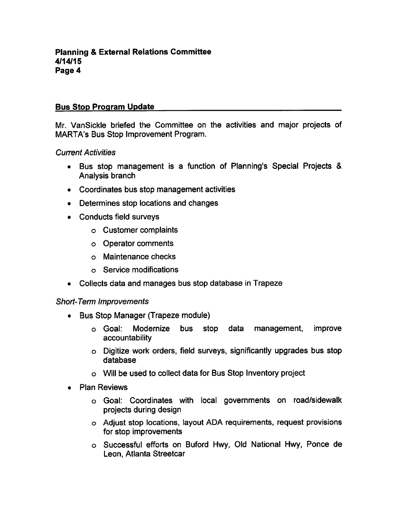# Bus Stop Program Update

Mr. VanSickle briefed the Committee on the activities and major projects of MARTA's Bus Stop Improvement Program.

## Current Activities

- Bus stop management is a function of Planning's Special Projects & Analysis branch
- Coordinates bus stop management activities
- Determines stop locations and changes
- Conducts field surveys
	- Customer complaints
	- Operator comments
	- Maintenance checks
	- Service modifications
- Collects data and manages bus stop database in Trapeze

## Short-Term Improvements

- Bus Stop Manager (Trapeze module)  $\bullet$ 
	- Goal: Modernize bus stop data management, improve accountability
	- Digitize work orders, field surveys, significantly upgrades bus stop database
	- Will be used to collect data for Bus Stop Inventory project
- Plan Reviews  $\bullet$ 
	- Goal: Coordinates with local governments on road/sidewalk projects during design
	- Adjust stop locations, layout ADA requirements, request provisions for stop improvements
	- Successful efforts on Buford Hwy, Old National Hwy, Ponce de Leon, Atlanta Streetcar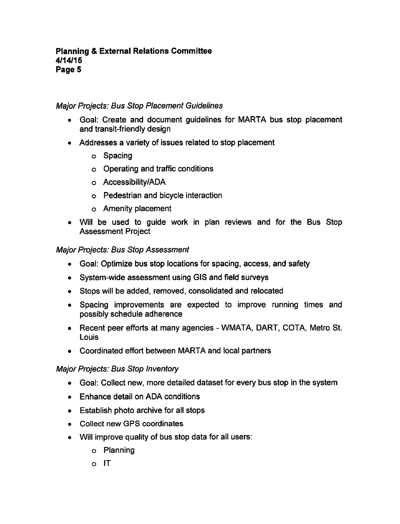## Major Projects: Bus Stop Placement Guidelines

- Goal: Create and document guidelines for MARTA bus stop placement and transit-friendly design
- Addresses a variety of issues related to stop placement
	- o Spacing
	- Operating and traffic conditions
	- Accessibility/ADA
	- Pedestrian and bicycle interaction
	- Amenity placement
- Will be used to guide work in plan reviews and for the Bus Stop Assessment Project

#### Major Projects: Bus Stop Assessment

- Goal: Optimize bus stop locations for spacing, access, and safety
- System-wide assessment using GIS and field surveys
- Stops will be added, removed, consolidated and relocated
- Spacing improvements are expected to improve running times and possibly schedule adherence
- Recent peer efforts at many agencies WMATA, DART, COTA, Metro St. **Louis**
- Coordinated effort between MARTA and local partners  $\bullet$

## Major Projects: Bus Stop Inventory

- Goal: Collect new, more detailed dataset for every bus stop in the system
- Enhance detail on ADA conditions
- Establish photo archive for all stops
- Collect new GPS coordinates
- Will improve quality of bus stop data for all users:  $\bullet$ 
	- Planning
	- $\circ$  IT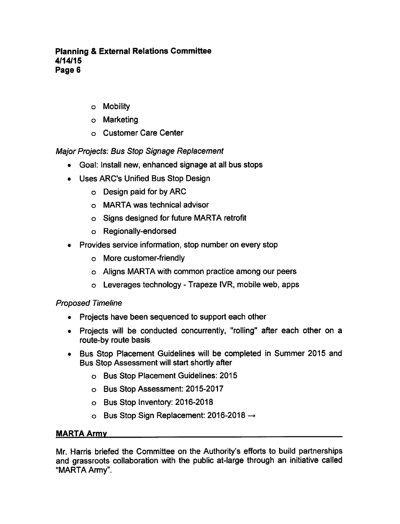## Planning External Relations Committee 4/14/15 Page 6

- Mobility
- Marketing
- Customer Care Center

# Major Projects: Bus Stop Signage Replacement

- Goal: Install new, enhanced signage at all bus stops
- Uses ARC'S Unified Bus Stop Design
	- Design paid for by ARC
	- MARTA was technical advisor
	- Signs designed for future MARTA retrofit
	- Regionally-endorsed
- Provides service information, stop number on every stop
	- More customer-friendly
	- Aligns MARTA with common practice among our peers
	- $\circ$  Leverages technology Trapeze IVR, mobile web, apps

# Proposed Timeline

- Projects have been sequenced to support each other
- Projects will be conducted concurrently, "rolling" after each other on a route-by route basis
- Bus Stop Placement Guidelines will be completed in Summer 2015 and Bus Stop Assessment will start shortly after
	- Bus Stop Placement Guidelines: 2015
	- Bus Stop Assessment: 2015-2017
	- Bus Stop Inventory: 2016-2018
	- $\circ$  Bus Stop Sign Replacement: 2016-2018  $\rightarrow$

## MARTA Army

Mr. Harris briefed the Committee on the Authority's efforts to build partnerships and grassroots collaboration with the public at-large through an initiative called "MARTA Army".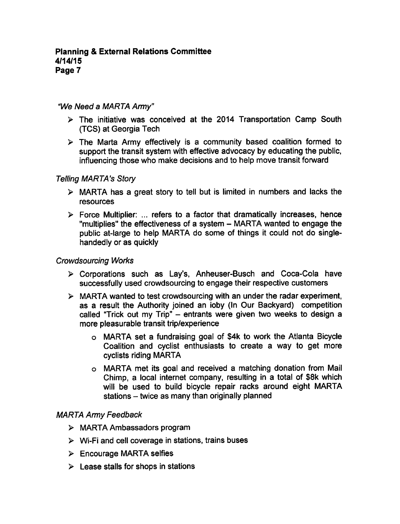## "We Need a MARTA Army"

- $\triangleright$  The initiative was conceived at the 2014 Transportation Camp South (TCS) at Georgia Tech
- $\triangleright$  The Marta Army effectively is a community based coalition formed to support the transit system with effective advocacy by educating the public, influencing those who make decisions and to help move transit forward

## Telling MARTA's Story

- $\triangleright$  MARTA has a great story to tell but is limited in numbers and lacks the resources
- $\triangleright$  Force Multiplier: ... refers to a factor that dramatically increases, hence "multiplies" the effectiveness of a system - MARTA wanted to engage the public at-large to help MARTA do some of things it could not do singlehandedly or as quickly

#### Crowdsourcing Works

- Corporations such as Lay's, Anheuser-Busch and Coca-Cola have successfully used crowdsourcing to engage their respective customers
- $\triangleright$  MARTA wanted to test crowdsourcing with an under the radar experiment, as a result the Authority joined an ioby (In Our Backyard) competition called "Trick out my Trip"  $-$  entrants were given two weeks to design a more pleasurable transit trip/experience
	- o MARTA set a fundraising goal of \$4k to work the Atlanta Bicycle Coalition and cyclist enthusiasts to create a way to get more cyclists riding MARTA
	- MARTA met its goal and received a matching donation from Mail Chimp, a local internet company, resulting in a total of \$8k which will be used to build bicycle repair racks around eight MARTA stations  $-$  twice as many than originally planned

## MARTA Army Feedback

- MARTA Ambassadors program
- $\triangleright$  Wi-Fi and cell coverage in stations, trains buses
- > Encourage MARTA selfies
- $\triangleright$  Lease stalls for shops in stations